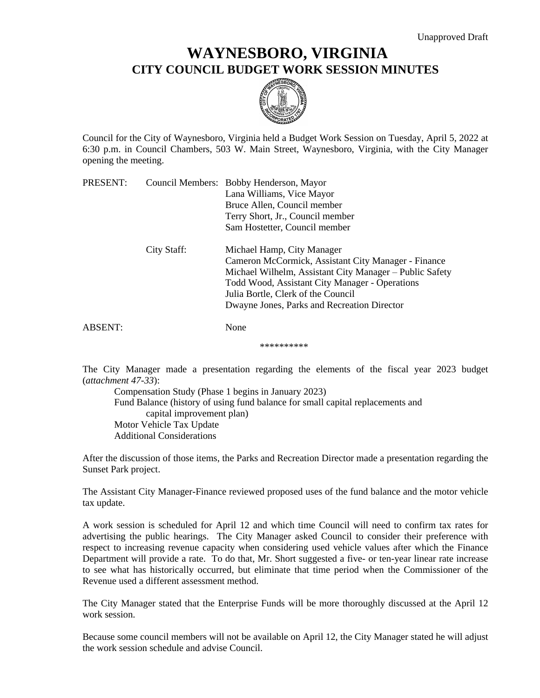## **WAYNESBORO, VIRGINIA CITY COUNCIL BUDGET WORK SESSION MINUTES**



Council for the City of Waynesboro, Virginia held a Budget Work Session on Tuesday, April 5, 2022 at 6:30 p.m. in Council Chambers, 503 W. Main Street, Waynesboro, Virginia, with the City Manager opening the meeting.

| PRESENT:       |             | Council Members: Bobby Henderson, Mayor                 |
|----------------|-------------|---------------------------------------------------------|
|                |             | Lana Williams, Vice Mayor                               |
|                |             | Bruce Allen, Council member                             |
|                |             | Terry Short, Jr., Council member                        |
|                |             | Sam Hostetter, Council member                           |
|                | City Staff: | Michael Hamp, City Manager                              |
|                |             | Cameron McCormick, Assistant City Manager - Finance     |
|                |             | Michael Wilhelm, Assistant City Manager – Public Safety |
|                |             | Todd Wood, Assistant City Manager - Operations          |
|                |             | Julia Bortle, Clerk of the Council                      |
|                |             | Dwayne Jones, Parks and Recreation Director             |
| <b>ABSENT:</b> |             | None                                                    |

\*\*\*\*\*\*\*\*\*\*

The City Manager made a presentation regarding the elements of the fiscal year 2023 budget (*attachment 47-33*):

Compensation Study (Phase 1 begins in January 2023) Fund Balance (history of using fund balance for small capital replacements and capital improvement plan) Motor Vehicle Tax Update Additional Considerations

After the discussion of those items, the Parks and Recreation Director made a presentation regarding the Sunset Park project.

The Assistant City Manager-Finance reviewed proposed uses of the fund balance and the motor vehicle tax update.

A work session is scheduled for April 12 and which time Council will need to confirm tax rates for advertising the public hearings. The City Manager asked Council to consider their preference with respect to increasing revenue capacity when considering used vehicle values after which the Finance Department will provide a rate. To do that, Mr. Short suggested a five- or ten-year linear rate increase to see what has historically occurred, but eliminate that time period when the Commissioner of the Revenue used a different assessment method.

The City Manager stated that the Enterprise Funds will be more thoroughly discussed at the April 12 work session.

Because some council members will not be available on April 12, the City Manager stated he will adjust the work session schedule and advise Council.